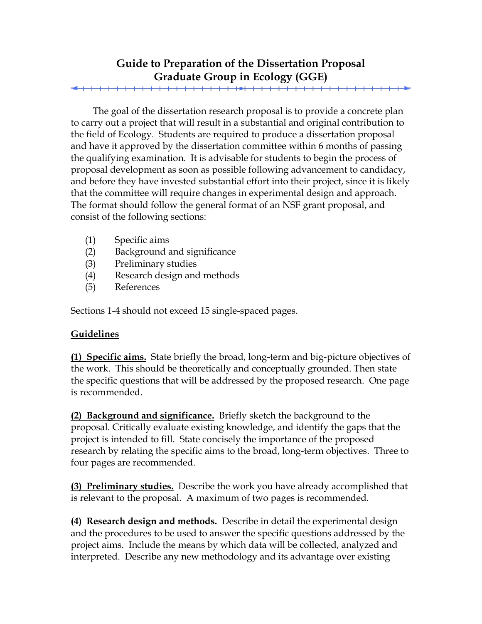## **Guide to Preparation of the Dissertation Proposal Graduate Group in Ecology (GGE)**

<del>. . . . . . . . . . . . . . . . . . .</del>

The goal of the dissertation research proposal is to provide a concrete plan to carry out a project that will result in a substantial and original contribution to the field of Ecology. Students are required to produce a dissertation proposal and have it approved by the dissertation committee within 6 months of passing the qualifying examination. It is advisable for students to begin the process of proposal development as soon as possible following advancement to candidacy, and before they have invested substantial effort into their project, since it is likely that the committee will require changes in experimental design and approach. The format should follow the general format of an NSF grant proposal, and consist of the following sections:

- (1) Specific aims
- (2) Background and significance
- (3) Preliminary studies
- (4) Research design and methods
- (5) References

Sections 1-4 should not exceed 15 single-spaced pages.

## **Guidelines**

**(1) Specific aims.** State briefly the broad, long-term and big-picture objectives of the work. This should be theoretically and conceptually grounded. Then state the specific questions that will be addressed by the proposed research. One page is recommended.

**(2) Background and significance.** Briefly sketch the background to the proposal. Critically evaluate existing knowledge, and identify the gaps that the project is intended to fill. State concisely the importance of the proposed research by relating the specific aims to the broad, long-term objectives. Three to four pages are recommended.

**(3) Preliminary studies.** Describe the work you have already accomplished that is relevant to the proposal. A maximum of two pages is recommended.

**(4) Research design and methods.** Describe in detail the experimental design and the procedures to be used to answer the specific questions addressed by the project aims. Include the means by which data will be collected, analyzed and interpreted. Describe any new methodology and its advantage over existing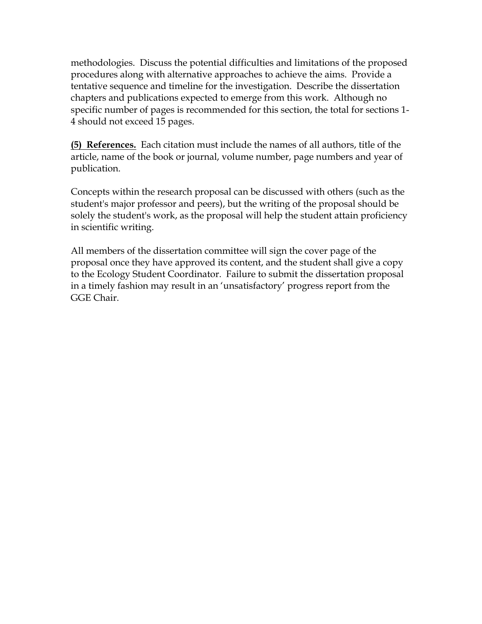methodologies. Discuss the potential difficulties and limitations of the proposed procedures along with alternative approaches to achieve the aims. Provide a tentative sequence and timeline for the investigation. Describe the dissertation chapters and publications expected to emerge from this work. Although no specific number of pages is recommended for this section, the total for sections 1- 4 should not exceed 15 pages.

**(5) References.** Each citation must include the names of all authors, title of the article, name of the book or journal, volume number, page numbers and year of publication.

Concepts within the research proposal can be discussed with others (such as the student's major professor and peers), but the writing of the proposal should be solely the student's work, as the proposal will help the student attain proficiency in scientific writing.

All members of the dissertation committee will sign the cover page of the proposal once they have approved its content, and the student shall give a copy to the Ecology Student Coordinator. Failure to submit the dissertation proposal in a timely fashion may result in an 'unsatisfactory' progress report from the GGE Chair.